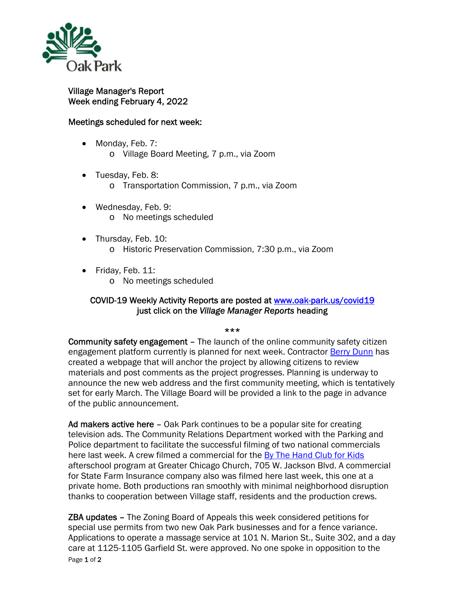

## Village Manager's Report Week ending February 4, 2022

## Meetings scheduled for next week:

- Monday, Feb. 7: o Village Board Meeting, 7 p.m., via Zoom
- Tuesday, Feb. 8:
	- o Transportation Commission, 7 p.m., via Zoom
- Wednesday, Feb. 9: o No meetings scheduled
- Thursday, Feb. 10: o Historic Preservation Commission, 7:30 p.m., via Zoom
- Friday, Feb. 11:
	- o No meetings scheduled

## COVID-19 Weekly Activity Reports are posted at www.oak-park.us/covid19 just click on the *Village Manager Reports* heading

\*\*\*

Community safety engagement – The launch of the online community safety citizen engagement platform currently is planned for next week. Contractor Berry Dunn has created a webpage that will anchor the project by allowing citizens to review materials and post comments as the project progresses. Planning is underway to announce the new web address and the first community meeting, which is tentatively set for early March. The Village Board will be provided a link to the page in advance of the public announcement.

Ad makers active here – Oak Park continues to be a popular site for creating television ads. The Community Relations Department worked with the Parking and Police department to facilitate the successful filming of two national commercials here last week. A crew filmed a commercial for the By The Hand Club for Kids afterschool program at Greater Chicago Church, 705 W. Jackson Blvd. A commercial for State Farm Insurance company also was filmed here last week, this one at a private home. Both productions ran smoothly with minimal neighborhood disruption thanks to cooperation between Village staff, residents and the production crews.

Page 1 of 2 **ZBA updates -** The Zoning Board of Appeals this week considered petitions for special use permits from two new Oak Park businesses and for a fence variance. Applications to operate a massage service at 101 N. Marion St., Suite 302, and a day care at 1125-1105 Garfield St. were approved. No one spoke in opposition to the